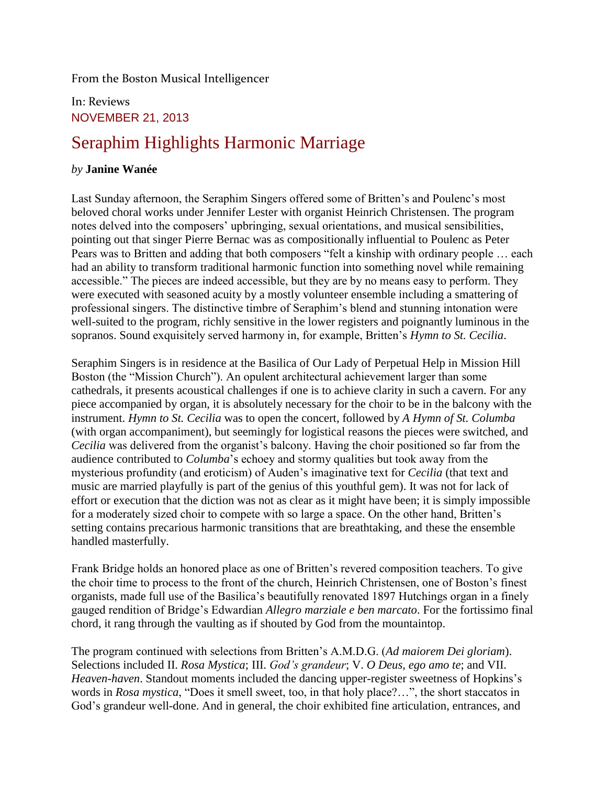From the Boston Musical Intelligencer

In: Reviews NOVEMBER 21, 2013

## Seraphim Highlights Harmonic Marriage

## *by* **Janine Wanée**

Last Sunday afternoon, the Seraphim Singers offered some of Britten's and Poulenc's most beloved choral works under Jennifer Lester with organist Heinrich Christensen. The program notes delved into the composers' upbringing, sexual orientations, and musical sensibilities, pointing out that singer Pierre Bernac was as compositionally influential to Poulenc as Peter Pears was to Britten and adding that both composers "felt a kinship with ordinary people … each had an ability to transform traditional harmonic function into something novel while remaining accessible." The pieces are indeed accessible, but they are by no means easy to perform. They were executed with seasoned acuity by a mostly volunteer ensemble including a smattering of professional singers. The distinctive timbre of Seraphim's blend and stunning intonation were well-suited to the program, richly sensitive in the lower registers and poignantly luminous in the sopranos. Sound exquisitely served harmony in, for example, Britten's *Hymn to St. Cecilia*.

Seraphim Singers is in residence at the Basilica of Our Lady of Perpetual Help in Mission Hill Boston (the "Mission Church"). An opulent architectural achievement larger than some cathedrals, it presents acoustical challenges if one is to achieve clarity in such a cavern. For any piece accompanied by organ, it is absolutely necessary for the choir to be in the balcony with the instrument. *Hymn to St. Cecilia* was to open the concert, followed by *A Hymn of St. Columba* (with organ accompaniment), but seemingly for logistical reasons the pieces were switched, and *Cecilia* was delivered from the organist's balcony. Having the choir positioned so far from the audience contributed to *Columba*'s echoey and stormy qualities but took away from the mysterious profundity (and eroticism) of Auden's imaginative text for *Cecilia* (that text and music are married playfully is part of the genius of this youthful gem). It was not for lack of effort or execution that the diction was not as clear as it might have been; it is simply impossible for a moderately sized choir to compete with so large a space. On the other hand, Britten's setting contains precarious harmonic transitions that are breathtaking, and these the ensemble handled masterfully.

Frank Bridge holds an honored place as one of Britten's revered composition teachers. To give the choir time to process to the front of the church, Heinrich Christensen, one of Boston's finest organists, made full use of the Basilica's beautifully renovated 1897 Hutchings organ in a finely gauged rendition of Bridge's Edwardian *Allegro marziale e ben marcato*. For the fortissimo final chord, it rang through the vaulting as if shouted by God from the mountaintop.

The program continued with selections from Britten's A.M.D.G. (*Ad maiorem Dei gloriam*). Selections included II. *Rosa Mystica*; III. *God's grandeur*; V. *O Deus, ego amo te*; and VII. *Heaven-haven*. Standout moments included the dancing upper-register sweetness of Hopkins's words in *Rosa mystica*, "Does it smell sweet, too, in that holy place?…", the short staccatos in God's grandeur well-done. And in general, the choir exhibited fine articulation, entrances, and